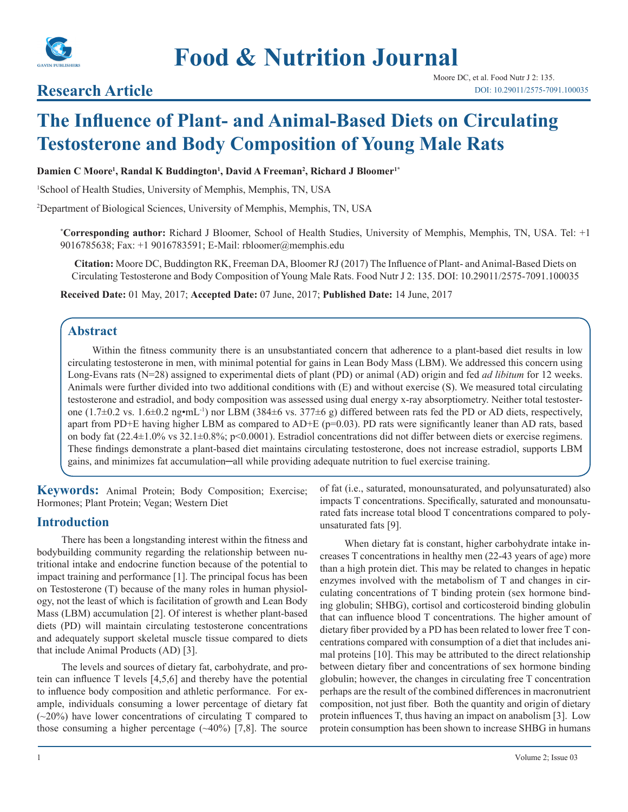

# **Research Article**

# **The Influence of Plant- and Animal-Based Diets on Circulating Testosterone and Body Composition of Young Male Rats**

#### **Damien C Moore<sup>1</sup> , Randal K Buddington<sup>1</sup> , David A Freeman<sup>2</sup> , Richard J Bloomer1\***

1 School of Health Studies, University of Memphis, Memphis, TN, USA

2 Department of Biological Sciences, University of Memphis, Memphis, TN, USA

**\* Corresponding author:** Richard J Bloomer, School of Health Studies, University of Memphis, Memphis, TN, USA. Tel: +1 9016785638; Fax: +1 9016783591; E-Mail: rbloomer@memphis.edu

**Citation:** Moore DC, Buddington RK, Freeman DA, Bloomer RJ (2017) The Influence of Plant- and Animal-Based Diets on Circulating Testosterone and Body Composition of Young Male Rats. Food Nutr J 2: 135. DOI: 10.29011/2575-7091.100035

**Received Date:** 01 May, 2017; **Accepted Date:** 07 June, 2017; **Published Date:** 14 June, 2017

## **Abstract**

Within the fitness community there is an unsubstantiated concern that adherence to a plant-based diet results in low circulating testosterone in men, with minimal potential for gains in Lean Body Mass (LBM). We addressed this concern using Long-Evans rats (N=28) assigned to experimental diets of plant (PD) or animal (AD) origin and fed *ad libitum* for 12 weeks. Animals were further divided into two additional conditions with (E) and without exercise (S). We measured total circulating testosterone and estradiol, and body composition was assessed using dual energy x-ray absorptiometry. Neither total testosterone (1.7 $\pm$ 0.2 vs. 1.6 $\pm$ 0.2 ng•mL<sup>-1</sup>) nor LBM (384 $\pm$ 6 vs. 377 $\pm$ 6 g) differed between rats fed the PD or AD diets, respectively, apart from PD+E having higher LBM as compared to  $AD+E$  ( $p=0.03$ ). PD rats were significantly leaner than AD rats, based on body fat (22.4±1.0% vs 32.1±0.8%; p<0.0001). Estradiol concentrations did not differ between diets or exercise regimens. These findings demonstrate a plant-based diet maintains circulating testosterone, does not increase estradiol, supports LBM gains, and minimizes fat accumulation—all while providing adequate nutrition to fuel exercise training.

**Keywords:** Animal Protein; Body Composition; Exercise; Hormones; Plant Protein; Vegan; Western Diet

#### **Introduction**

There has been a longstanding interest within the fitness and bodybuilding community regarding the relationship between nutritional intake and endocrine function because of the potential to impact training and performance [1]. The principal focus has been on Testosterone (T) because of the many roles in human physiology, not the least of which is facilitation of growth and Lean Body Mass (LBM) accumulation [2]. Of interest is whether plant-based diets (PD) will maintain circulating testosterone concentrations and adequately support skeletal muscle tissue compared to diets that include Animal Products (AD) [3].

The levels and sources of dietary fat, carbohydrate, and protein can influence T levels [4,5,6] and thereby have the potential to influence body composition and athletic performance. For example, individuals consuming a lower percentage of dietary fat (~20%) have lower concentrations of circulating T compared to those consuming a higher percentage  $(-40%)$  [7,8]. The source of fat (i.e., saturated, monounsaturated, and polyunsaturated) also impacts T concentrations. Specifically, saturated and monounsaturated fats increase total blood T concentrations compared to polyunsaturated fats [9].

When dietary fat is constant, higher carbohydrate intake increases T concentrations in healthy men (22-43 years of age) more than a high protein diet. This may be related to changes in hepatic enzymes involved with the metabolism of T and changes in circulating concentrations of T binding protein (sex hormone binding globulin; SHBG), cortisol and corticosteroid binding globulin that can influence blood T concentrations. The higher amount of dietary fiber provided by a PD has been related to lower free T concentrations compared with consumption of a diet that includes animal proteins [10]. This may be attributed to the direct relationship between dietary fiber and concentrations of sex hormone binding globulin; however, the changes in circulating free T concentration perhaps are the result of the combined differences in macronutrient composition, not just fiber. Both the quantity and origin of dietary protein influences T, thus having an impact on anabolism [3]. Low protein consumption has been shown to increase SHBG in humans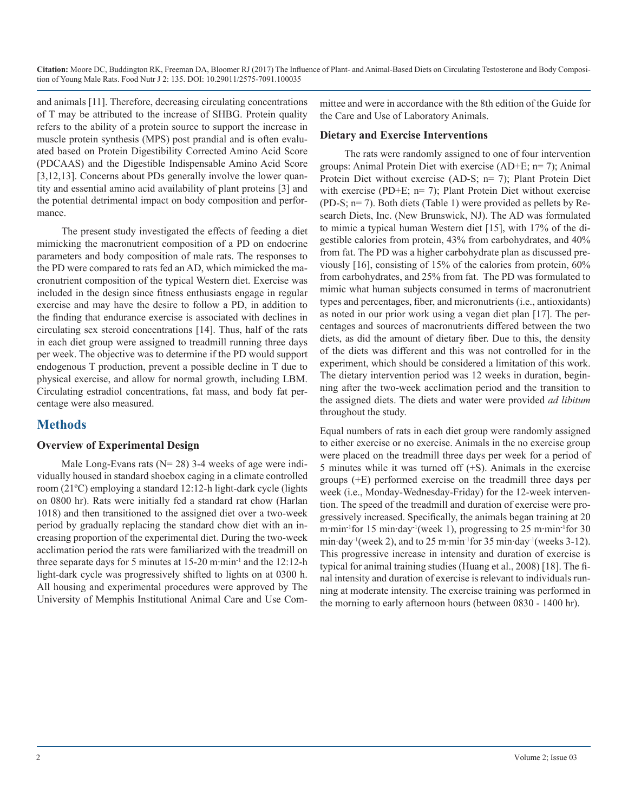and animals [11]. Therefore, decreasing circulating concentrations of T may be attributed to the increase of SHBG. Protein quality refers to the ability of a protein source to support the increase in muscle protein synthesis (MPS) post prandial and is often evaluated based on Protein Digestibility Corrected Amino Acid Score (PDCAAS) and the Digestible Indispensable Amino Acid Score [3,12,13]. Concerns about PDs generally involve the lower quantity and essential amino acid availability of plant proteins [3] and the potential detrimental impact on body composition and performance.

The present study investigated the effects of feeding a diet mimicking the macronutrient composition of a PD on endocrine parameters and body composition of male rats. The responses to the PD were compared to rats fed an AD, which mimicked the macronutrient composition of the typical Western diet. Exercise was included in the design since fitness enthusiasts engage in regular exercise and may have the desire to follow a PD, in addition to the finding that endurance exercise is associated with declines in circulating sex steroid concentrations [14]. Thus, half of the rats in each diet group were assigned to treadmill running three days per week. The objective was to determine if the PD would support endogenous T production, prevent a possible decline in T due to physical exercise, and allow for normal growth, including LBM. Circulating estradiol concentrations, fat mass, and body fat percentage were also measured.

# **Methods**

#### **Overview of Experimental Design**

Male Long-Evans rats  $(N= 28)$  3-4 weeks of age were individually housed in standard shoebox caging in a climate controlled room (21ºC) employing a standard 12:12-h light-dark cycle (lights on 0800 hr). Rats were initially fed a standard rat chow (Harlan 1018) and then transitioned to the assigned diet over a two-week period by gradually replacing the standard chow diet with an increasing proportion of the experimental diet. During the two-week acclimation period the rats were familiarized with the treadmill on three separate days for 5 minutes at 15-20 m∙min-1 and the 12:12-h light-dark cycle was progressively shifted to lights on at 0300 h. All housing and experimental procedures were approved by The University of Memphis Institutional Animal Care and Use Committee and were in accordance with the 8th edition of the Guide for the Care and Use of Laboratory Animals.

#### **Dietary and Exercise Interventions**

The rats were randomly assigned to one of four intervention groups: Animal Protein Diet with exercise (AD+E; n= 7); Animal Protein Diet without exercise (AD-S; n= 7); Plant Protein Diet with exercise (PD+E; n= 7); Plant Protein Diet without exercise (PD-S; n= 7). Both diets (Table 1) were provided as pellets by Research Diets, Inc. (New Brunswick, NJ). The AD was formulated to mimic a typical human Western diet [15], with 17% of the digestible calories from protein, 43% from carbohydrates, and 40% from fat. The PD was a higher carbohydrate plan as discussed previously [16], consisting of 15% of the calories from protein, 60% from carbohydrates, and 25% from fat. The PD was formulated to mimic what human subjects consumed in terms of macronutrient types and percentages, fiber, and micronutrients (i.e., antioxidants) as noted in our prior work using a vegan diet plan [17]. The percentages and sources of macronutrients differed between the two diets, as did the amount of dietary fiber. Due to this, the density of the diets was different and this was not controlled for in the experiment, which should be considered a limitation of this work. The dietary intervention period was 12 weeks in duration, beginning after the two-week acclimation period and the transition to the assigned diets. The diets and water were provided *ad libitum* throughout the study.

Equal numbers of rats in each diet group were randomly assigned to either exercise or no exercise. Animals in the no exercise group were placed on the treadmill three days per week for a period of 5 minutes while it was turned off (+S). Animals in the exercise groups (+E) performed exercise on the treadmill three days per week (i.e., Monday-Wednesday-Friday) for the 12-week intervention. The speed of the treadmill and duration of exercise were progressively increased. Specifically, the animals began training at 20 m∙min-1for 15 min∙day-1(week 1), progressing to 25 m∙min-1for 30 min∙day-1(week 2), and to 25 m∙min-1for 35 min∙day-1(weeks 3-12). This progressive increase in intensity and duration of exercise is typical for animal training studies (Huang et al., 2008) [18]. The final intensity and duration of exercise is relevant to individuals running at moderate intensity. The exercise training was performed in the morning to early afternoon hours (between 0830 - 1400 hr).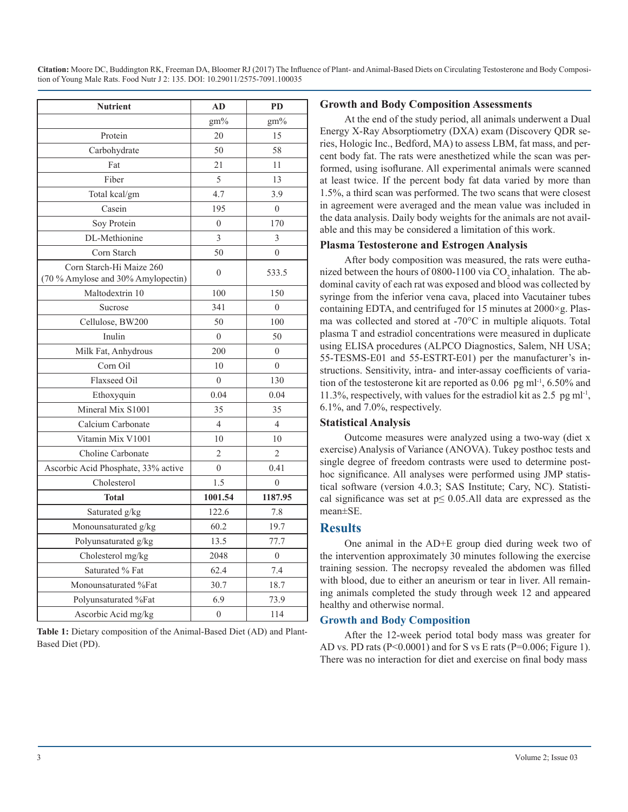| <b>Nutrient</b>                                                | <b>AD</b>        | <b>PD</b>        |
|----------------------------------------------------------------|------------------|------------------|
|                                                                | $gm\%$           | $gm\%$           |
| Protein                                                        | 20               | 15               |
| Carbohydrate                                                   | 50               | 58               |
| Fat                                                            | 21               | 11               |
| Fiber                                                          | 5                | 13               |
| Total kcal/gm                                                  | 4.7              | 3.9              |
| Casein                                                         | 195              | $\theta$         |
| Soy Protein                                                    | $\overline{0}$   | 170              |
| DL-Methionine                                                  | 3                | 3                |
| Corn Starch                                                    | 50               | $\overline{0}$   |
| Corn Starch-Hi Maize 260<br>(70 % Amylose and 30% Amylopectin) | $\theta$         | 533.5            |
| Maltodextrin 10                                                | 100              | 150              |
| Sucrose                                                        | 341              | $\theta$         |
| Cellulose, BW200                                               | 50               | 100              |
| Inulin                                                         | $\theta$         | 50               |
| Milk Fat, Anhydrous                                            | 200              | $\boldsymbol{0}$ |
| Corn Oil                                                       | 10               | $\theta$         |
| Flaxseed Oil                                                   | $\theta$         | 130              |
| Ethoxyquin                                                     | 0.04             | 0.04             |
| Mineral Mix S1001                                              | 35               | 35               |
| Calcium Carbonate                                              | $\overline{4}$   | 4                |
| Vitamin Mix V1001                                              | 10               | 10               |
| Choline Carbonate                                              | $\overline{c}$   | $\overline{c}$   |
| Ascorbic Acid Phosphate, 33% active                            | $\theta$         | 0.41             |
| Cholesterol                                                    | 1.5              | $\overline{0}$   |
| <b>Total</b>                                                   | 1001.54          | 1187.95          |
| Saturated g/kg                                                 | 122.6            | 7.8              |
| Monounsaturated g/kg                                           | 60.2             | 19.7             |
| Polyunsaturated g/kg                                           | 13.5             | 77.7             |
| Cholesterol mg/kg                                              | 2048             | $\overline{0}$   |
| Saturated % Fat                                                | 62.4             | 7.4              |
| Monounsaturated %Fat                                           | 30.7             | 18.7             |
| Polyunsaturated %Fat                                           | 6.9              | 73.9             |
| Ascorbic Acid mg/kg                                            | $\boldsymbol{0}$ | 114              |

| <b>Table 1:</b> Dietary composition of the Animal-Based Diet (AD) and Plant- |  |
|------------------------------------------------------------------------------|--|
| Based Diet (PD).                                                             |  |

#### **Growth and Body Composition Assessments**

At the end of the study period, all animals underwent a Dual Energy X-Ray Absorptiometry (DXA) exam (Discovery QDR series, Hologic Inc., Bedford, MA) to assess LBM, fat mass, and percent body fat. The rats were anesthetized while the scan was performed, using isoflurane. All experimental animals were scanned at least twice. If the percent body fat data varied by more than 1.5%, a third scan was performed. The two scans that were closest in agreement were averaged and the mean value was included in the data analysis. Daily body weights for the animals are not available and this may be considered a limitation of this work.

#### **Plasma Testosterone and Estrogen Analysis**

After body composition was measured, the rats were euthanized between the hours of 0800-1100 via CO<sub>2</sub> inhalation. The abdominal cavity of each rat was exposed and blood was collected by syringe from the inferior vena cava, placed into Vacutainer tubes containing EDTA, and centrifuged for 15 minutes at 2000×g. Plasma was collected and stored at -70°C in multiple aliquots. Total plasma T and estradiol concentrations were measured in duplicate using ELISA procedures (ALPCO Diagnostics, Salem, NH USA; 55-TESMS-E01 and 55-ESTRT-E01) per the manufacturer's instructions. Sensitivity, intra- and inter-assay coefficients of variation of the testosterone kit are reported as 0.06 pg ml<sup>-1</sup>, 6.50% and 11.3%, respectively, with values for the estradiol kit as 2.5 pg ml-1, 6.1%, and 7.0%, respectively.

#### **Statistical Analysis**

Outcome measures were analyzed using a two-way (diet x exercise) Analysis of Variance (ANOVA). Tukey posthoc tests and single degree of freedom contrasts were used to determine posthoc significance. All analyses were performed using JMP statistical software (version 4.0.3; SAS Institute; Cary, NC). Statistical significance was set at  $p \leq 0.05$ . All data are expressed as the mean±SE.

#### **Results**

One animal in the AD+E group died during week two of the intervention approximately 30 minutes following the exercise training session. The necropsy revealed the abdomen was filled with blood, due to either an aneurism or tear in liver. All remaining animals completed the study through week 12 and appeared healthy and otherwise normal.

#### **Growth and Body Composition**

After the 12-week period total body mass was greater for AD vs. PD rats ( $P<0.0001$ ) and for S vs E rats ( $P=0.006$ ; Figure 1). There was no interaction for diet and exercise on final body mass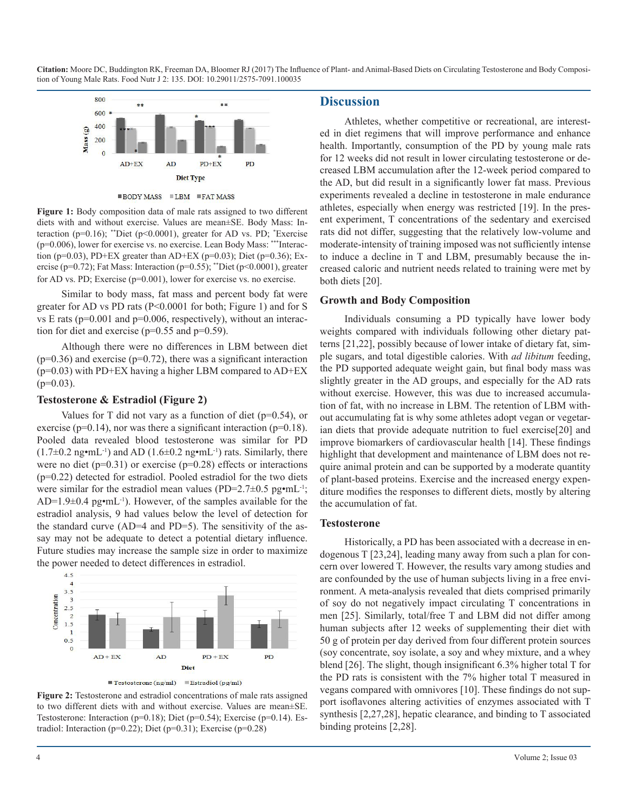

**BODY MASS ELBM EFAT MASS** 

Figure 1: Body composition data of male rats assigned to two different diets with and without exercise. Values are mean±SE. Body Mass: Interaction (p=0.16); \*\*Diet (p<0.0001), greater for AD vs. PD; \* Exercise (p=0.006), lower for exercise vs. no exercise. Lean Body Mass: \*\*\*Interaction (p=0.03), PD+EX greater than AD+EX (p=0.03); Diet (p=0.36); Exercise (p=0.72); Fat Mass: Interaction (p=0.55); \*\*Diet (p<0.0001), greater for AD vs. PD; Exercise (p=0.001), lower for exercise vs. no exercise.

Similar to body mass, fat mass and percent body fat were greater for AD vs PD rats (P<0.0001 for both; Figure 1) and for S vs E rats ( $p=0.001$  and  $p=0.006$ , respectively), without an interaction for diet and exercise ( $p=0.55$  and  $p=0.59$ ).

Although there were no differences in LBM between diet  $(p=0.36)$  and exercise  $(p=0.72)$ , there was a significant interaction  $(p=0.03)$  with PD+EX having a higher LBM compared to AD+EX  $(p=0.03)$ .

#### **Testosterone & Estradiol (Figure 2)**

Values for T did not vary as a function of diet  $(p=0.54)$ , or exercise (p=0.14), nor was there a significant interaction (p=0.18). Pooled data revealed blood testosterone was similar for PD  $(1.7\pm0.2 \text{ ng} \cdot \text{mL}^{-1})$  and AD  $(1.6\pm0.2 \text{ ng} \cdot \text{mL}^{-1})$  rats. Similarly, there were no diet ( $p=0.31$ ) or exercise ( $p=0.28$ ) effects or interactions  $(p=0.22)$  detected for estradiol. Pooled estradiol for the two diets were similar for the estradiol mean values (PD= $2.7\pm0.5$  pg $\cdot$ mL<sup>-1</sup>; AD= $1.9\pm0.4$  pg $\cdot$ mL<sup>-1</sup>). However, of the samples available for the estradiol analysis, 9 had values below the level of detection for the standard curve (AD=4 and PD=5). The sensitivity of the assay may not be adequate to detect a potential dietary influence. Future studies may increase the sample size in order to maximize the power needed to detect differences in estradiol.



Testosterone (ng/ml) Estradiol (pg/ml)

**Figure 2:** Testosterone and estradiol concentrations of male rats assigned to two different diets with and without exercise. Values are mean±SE. Testosterone: Interaction ( $p=0.18$ ); Diet ( $p=0.54$ ); Exercise ( $p=0.14$ ). Estradiol: Interaction (p=0.22); Diet (p=0.31); Exercise (p=0.28)

#### **Discussion**

Athletes, whether competitive or recreational, are interested in diet regimens that will improve performance and enhance health. Importantly, consumption of the PD by young male rats for 12 weeks did not result in lower circulating testosterone or decreased LBM accumulation after the 12-week period compared to the AD, but did result in a significantly lower fat mass. Previous experiments revealed a decline in testosterone in male endurance athletes, especially when energy was restricted [19]. In the present experiment, T concentrations of the sedentary and exercised rats did not differ, suggesting that the relatively low-volume and moderate-intensity of training imposed was not sufficiently intense to induce a decline in T and LBM, presumably because the increased caloric and nutrient needs related to training were met by both diets [20].

#### **Growth and Body Composition**

Individuals consuming a PD typically have lower body weights compared with individuals following other dietary patterns [21,22], possibly because of lower intake of dietary fat, simple sugars, and total digestible calories. With *ad libitum* feeding, the PD supported adequate weight gain, but final body mass was slightly greater in the AD groups, and especially for the AD rats without exercise. However, this was due to increased accumulation of fat, with no increase in LBM. The retention of LBM without accumulating fat is why some athletes adopt vegan or vegetarian diets that provide adequate nutrition to fuel exercise[20] and improve biomarkers of cardiovascular health [14]. These findings highlight that development and maintenance of LBM does not require animal protein and can be supported by a moderate quantity of plant-based proteins. Exercise and the increased energy expenditure modifies the responses to different diets, mostly by altering the accumulation of fat.

#### **Testosterone**

Historically, a PD has been associated with a decrease in endogenous T [23,24], leading many away from such a plan for concern over lowered T. However, the results vary among studies and are confounded by the use of human subjects living in a free environment. A meta-analysis revealed that diets comprised primarily of soy do not negatively impact circulating T concentrations in men [25]. Similarly, total/free T and LBM did not differ among human subjects after 12 weeks of supplementing their diet with 50 g of protein per day derived from four different protein sources (soy concentrate, soy isolate, a soy and whey mixture, and a whey blend [26]. The slight, though insignificant 6.3% higher total T for the PD rats is consistent with the 7% higher total T measured in vegans compared with omnivores [10]. These findings do not support isoflavones altering activities of enzymes associated with T synthesis [2,27,28], hepatic clearance, and binding to T associated binding proteins [2,28].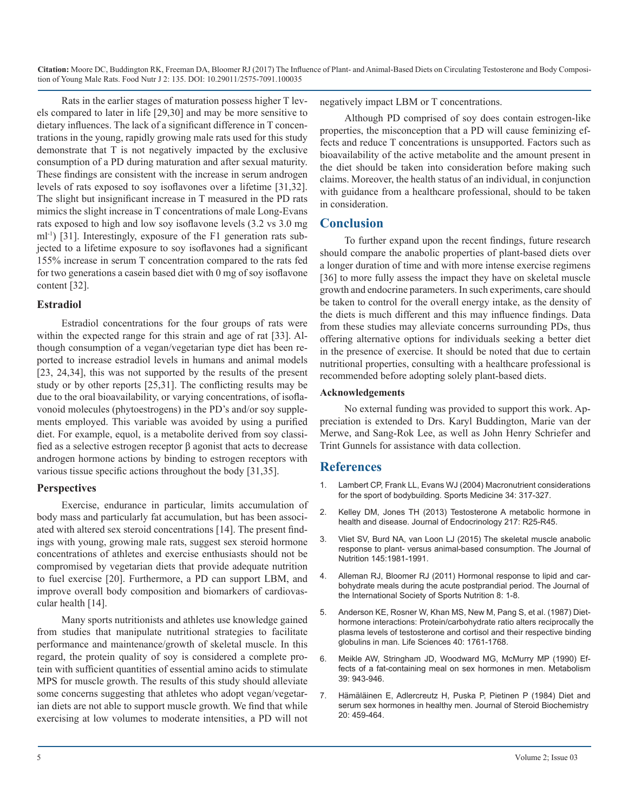Rats in the earlier stages of maturation possess higher T levels compared to later in life [29,30] and may be more sensitive to dietary influences. The lack of a significant difference in T concentrations in the young, rapidly growing male rats used for this study demonstrate that T is not negatively impacted by the exclusive consumption of a PD during maturation and after sexual maturity. These findings are consistent with the increase in serum androgen levels of rats exposed to soy isoflavones over a lifetime [31,32]. The slight but insignificant increase in T measured in the PD rats mimics the slight increase in T concentrations of male Long-Evans rats exposed to high and low soy isoflavone levels (3.2 vs 3.0 mg ml-1) [31]. Interestingly, exposure of the F1 generation rats subjected to a lifetime exposure to soy isoflavones had a significant 155% increase in serum T concentration compared to the rats fed for two generations a casein based diet with 0 mg of soy isoflavone content [32].

#### **Estradiol**

Estradiol concentrations for the four groups of rats were within the expected range for this strain and age of rat [33]. Although consumption of a vegan/vegetarian type diet has been reported to increase estradiol levels in humans and animal models [23, 24,34], this was not supported by the results of the present study or by other reports [25,31]. The conflicting results may be due to the oral bioavailability, or varying concentrations, of isoflavonoid molecules (phytoestrogens) in the PD's and/or soy supplements employed. This variable was avoided by using a purified diet. For example, equol, is a metabolite derived from soy classified as a selective estrogen receptor β agonist that acts to decrease androgen hormone actions by binding to estrogen receptors with various tissue specific actions throughout the body [31,35].

#### **Perspectives**

Exercise, endurance in particular, limits accumulation of body mass and particularly fat accumulation, but has been associated with altered sex steroid concentrations [14]. The present findings with young, growing male rats, suggest sex steroid hormone concentrations of athletes and exercise enthusiasts should not be compromised by vegetarian diets that provide adequate nutrition to fuel exercise [20]. Furthermore, a PD can support LBM, and improve overall body composition and biomarkers of cardiovascular health [14].

[Many sports nutritionists and athletes use knowledge gained](https://www.ncbi.nlm.nih.gov/pubmed/3573976)  from studies that manipulate nutritional strategies to facilitate performance and maintenance/growth of skeletal muscle. In this regard, the protein quality of soy is considered a complete pro[tein with sufficient quantities of essential amino acids to stimulate](https://www.ncbi.nlm.nih.gov/pubmed/2392062)  MPS for muscle growth. The results of this study should alleviate some concerns suggesting that athletes who adopt vegan/vegetarian diets are not able to support muscle growth. We find that while exercising at low volumes to moderate intensities, a PD will not

negatively impact LBM or T concentrations.

Although PD comprised of soy does contain estrogen-like properties, the misconception that a PD will cause feminizing effects and reduce T concentrations is unsupported. Factors such as bioavailability of the active metabolite and the amount present in the diet should be taken into consideration before making such claims. Moreover, the health status of an individual, in conjunction with guidance from a healthcare professional, should to be taken in consideration.

#### **Conclusion**

To further expand upon the recent findings, future research should compare the anabolic properties of plant-based diets over a longer duration of time and with more intense exercise regimens [36] to more fully assess the impact they have on skeletal muscle growth and endocrine parameters. In such experiments, care should be taken to control for the overall energy intake, as the density of the diets is much different and this may influence findings. Data from these studies may alleviate concerns surrounding PDs, thus offering alternative options for individuals seeking a better diet in the presence of exercise. It should be noted that due to certain nutritional properties, consulting with a healthcare professional is recommended before adopting solely plant-based diets.

#### **Acknowledgements**

No external funding was provided to support this work. Appreciation is extended to Drs. Karyl Buddington, Marie van der Merwe, and Sang-Rok Lee, as well as John Henry Schriefer and Trint Gunnels for assistance with data collection.

## **References**

- 1. Lambert CP, Frank LL, Evans WJ (2004) Macronutrient considerations for the sport of bodybuilding. Sports Medicine 34: 317-327.
- 2. [Kelley DM, Jones TH \(2013\) Testosterone A metabolic hormone in](https://www.ncbi.nlm.nih.gov/pubmed/23378050) [health and disease. Journal of Endocrinology 217: R25-R45.](https://www.ncbi.nlm.nih.gov/pubmed/23378050)
- 3. [Vliet SV, Burd NA, van Loon LJ \(2015\) The skeletal muscle anabolic](https://www.ncbi.nlm.nih.gov/pubmed/26224750) [response to plant- versus animal-based consumption. The Journal of](https://www.ncbi.nlm.nih.gov/pubmed/26224750)  [Nutrition 145:1981-1991.](https://www.ncbi.nlm.nih.gov/pubmed/26224750)
- 4. [Alleman RJ, Bloomer RJ \(2011\) Hormonal response to lipid and car](https://www.ncbi.nlm.nih.gov/pmc/articles/PMC3224778/)[bohydrate meals during the acute postprandial period. The Journal of](https://www.ncbi.nlm.nih.gov/pmc/articles/PMC3224778/)  [the International Society of Sports Nutrition 8: 1-8.](https://www.ncbi.nlm.nih.gov/pmc/articles/PMC3224778/)
- 5. [Anderson KE, Rosner W, Khan MS, New M, Pang S, et al. \(1987\) Diet](https://www.ncbi.nlm.nih.gov/pubmed/3573976)hormone interactions: Protein/carbohydrate ratio alters reciprocally the [plasma levels of testosterone and cortisol and their respective binding](https://www.ncbi.nlm.nih.gov/pubmed/3573976)  [globulins in man. Life Sciences 40: 1761-1768.](https://www.ncbi.nlm.nih.gov/pubmed/3573976)
- 6. [Meikle AW, Stringham JD, Woodward MG, McMurry MP \(1990\) Ef](https://www.ncbi.nlm.nih.gov/pubmed/2392062)fects of a fat-containing meal on sex hormones in men. Metabolism [39: 943-946.](https://www.ncbi.nlm.nih.gov/pubmed/2392062)
- 7. [Hämäläinen E, Adlercreutz H, Puska P, Pietinen P \(1984\) Diet and](https://www.ncbi.nlm.nih.gov/pubmed/6538617)  [serum sex hormones in healthy men. Journal of Steroid Biochemistry](https://www.ncbi.nlm.nih.gov/pubmed/6538617)  [20: 459-464.](https://www.ncbi.nlm.nih.gov/pubmed/6538617)